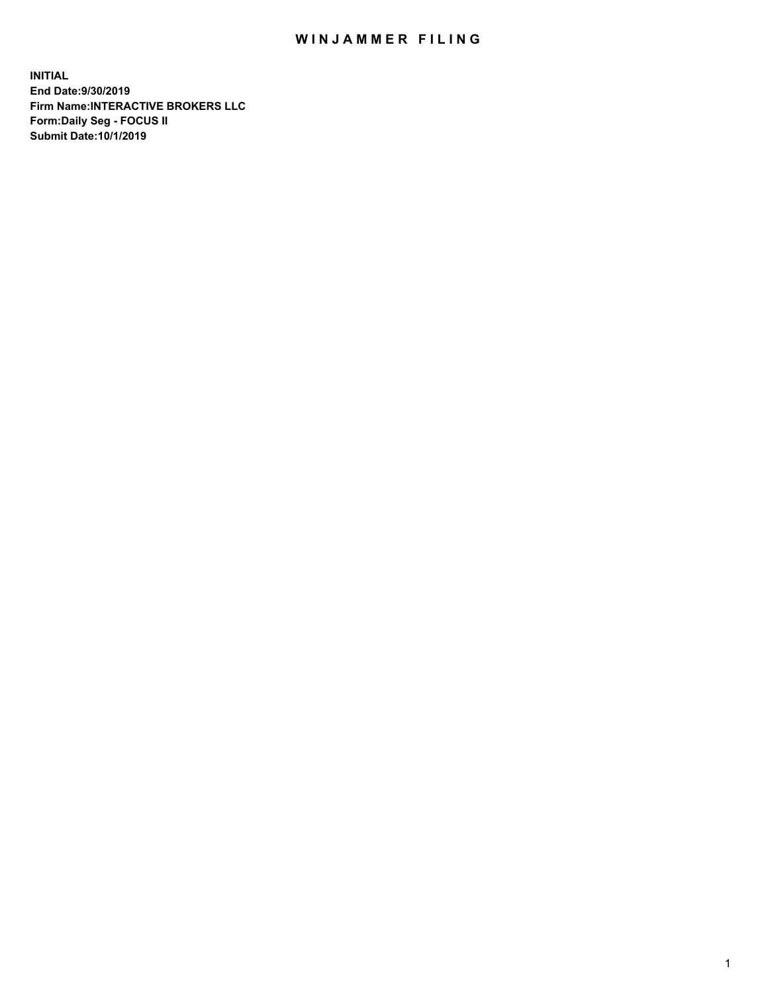## WIN JAMMER FILING

**INITIAL End Date:9/30/2019 Firm Name:INTERACTIVE BROKERS LLC Form:Daily Seg - FOCUS II Submit Date:10/1/2019**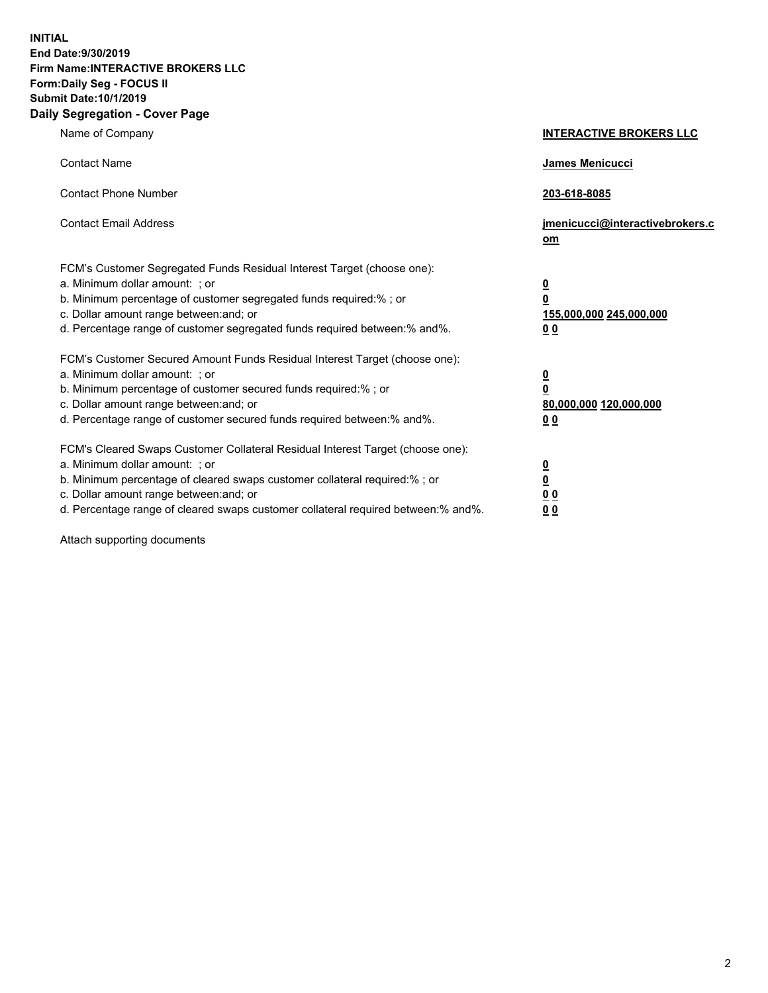**INITIAL End Date:9/30/2019 Firm Name:INTERACTIVE BROKERS LLC Form:Daily Seg - FOCUS II Submit Date:10/1/2019 Daily Segregation - Cover Page**

| Name of Company                                                                                                                                                                                                                                                                                                                | <b>INTERACTIVE BROKERS LLC</b>                                                                  |
|--------------------------------------------------------------------------------------------------------------------------------------------------------------------------------------------------------------------------------------------------------------------------------------------------------------------------------|-------------------------------------------------------------------------------------------------|
| <b>Contact Name</b>                                                                                                                                                                                                                                                                                                            | James Menicucci                                                                                 |
| <b>Contact Phone Number</b>                                                                                                                                                                                                                                                                                                    | 203-618-8085                                                                                    |
| <b>Contact Email Address</b>                                                                                                                                                                                                                                                                                                   | jmenicucci@interactivebrokers.c<br>om                                                           |
| FCM's Customer Segregated Funds Residual Interest Target (choose one):<br>a. Minimum dollar amount: ; or<br>b. Minimum percentage of customer segregated funds required:% ; or<br>c. Dollar amount range between: and; or<br>d. Percentage range of customer segregated funds required between:% and%.                         | $\overline{\mathbf{0}}$<br>$\overline{\mathbf{0}}$<br>155,000,000 245,000,000<br>0 <sub>0</sub> |
| FCM's Customer Secured Amount Funds Residual Interest Target (choose one):<br>a. Minimum dollar amount: ; or<br>b. Minimum percentage of customer secured funds required:%; or<br>c. Dollar amount range between: and; or<br>d. Percentage range of customer secured funds required between:% and%.                            | $\overline{\mathbf{0}}$<br>$\overline{\mathbf{0}}$<br>80,000,000 120,000,000<br>00              |
| FCM's Cleared Swaps Customer Collateral Residual Interest Target (choose one):<br>a. Minimum dollar amount: ; or<br>b. Minimum percentage of cleared swaps customer collateral required:% ; or<br>c. Dollar amount range between: and; or<br>d. Percentage range of cleared swaps customer collateral required between:% and%. | $\overline{\mathbf{0}}$<br>$\underline{\mathbf{0}}$<br>0 <sub>0</sub><br>0 <sub>0</sub>         |

Attach supporting documents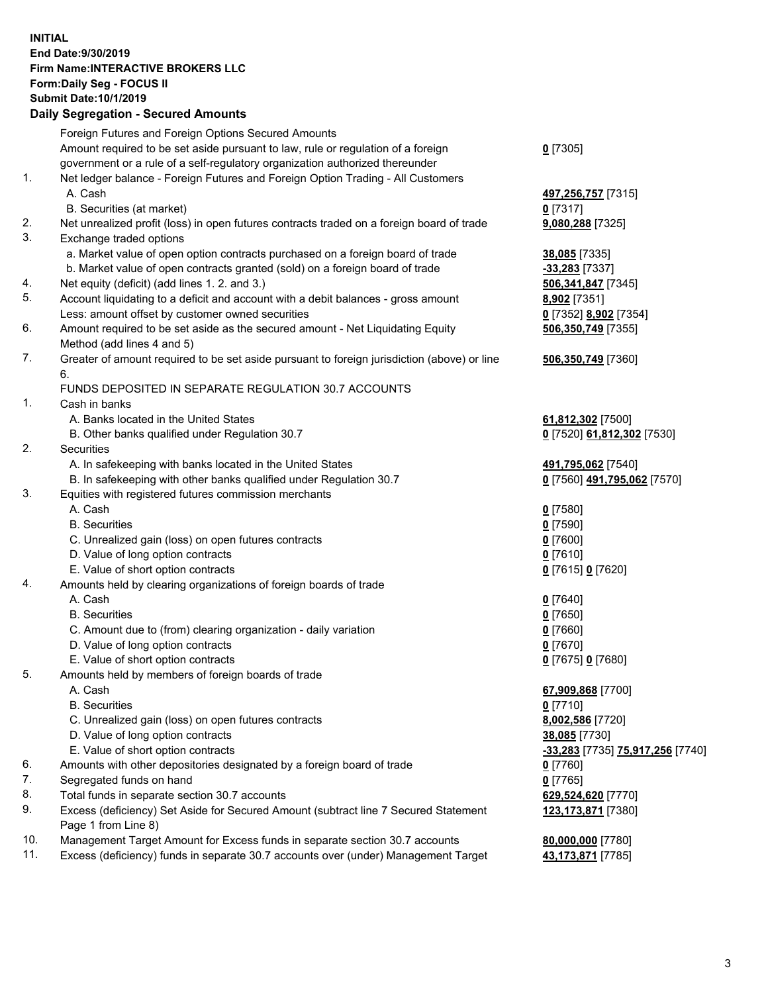## **INITIAL End Date:9/30/2019 Firm Name:INTERACTIVE BROKERS LLC Form:Daily Seg - FOCUS II Submit Date:10/1/2019 Daily Segregation - Secured Amounts**

| Daily Jegiegation - Jeculeu Alliounts                                                       |                                                                                                                                                                                                                                                                                                                                                                                                                                                                                                                                                                                                                                                                                                                                                                                                                                                                                                                                                                                                                                                                                                                                                                                    |
|---------------------------------------------------------------------------------------------|------------------------------------------------------------------------------------------------------------------------------------------------------------------------------------------------------------------------------------------------------------------------------------------------------------------------------------------------------------------------------------------------------------------------------------------------------------------------------------------------------------------------------------------------------------------------------------------------------------------------------------------------------------------------------------------------------------------------------------------------------------------------------------------------------------------------------------------------------------------------------------------------------------------------------------------------------------------------------------------------------------------------------------------------------------------------------------------------------------------------------------------------------------------------------------|
| Foreign Futures and Foreign Options Secured Amounts                                         |                                                                                                                                                                                                                                                                                                                                                                                                                                                                                                                                                                                                                                                                                                                                                                                                                                                                                                                                                                                                                                                                                                                                                                                    |
| Amount required to be set aside pursuant to law, rule or regulation of a foreign            | $0$ [7305]                                                                                                                                                                                                                                                                                                                                                                                                                                                                                                                                                                                                                                                                                                                                                                                                                                                                                                                                                                                                                                                                                                                                                                         |
| government or a rule of a self-regulatory organization authorized thereunder                |                                                                                                                                                                                                                                                                                                                                                                                                                                                                                                                                                                                                                                                                                                                                                                                                                                                                                                                                                                                                                                                                                                                                                                                    |
| Net ledger balance - Foreign Futures and Foreign Option Trading - All Customers             |                                                                                                                                                                                                                                                                                                                                                                                                                                                                                                                                                                                                                                                                                                                                                                                                                                                                                                                                                                                                                                                                                                                                                                                    |
| A. Cash                                                                                     | 497,256,757 [7315]                                                                                                                                                                                                                                                                                                                                                                                                                                                                                                                                                                                                                                                                                                                                                                                                                                                                                                                                                                                                                                                                                                                                                                 |
| B. Securities (at market)                                                                   | 0 [7317]                                                                                                                                                                                                                                                                                                                                                                                                                                                                                                                                                                                                                                                                                                                                                                                                                                                                                                                                                                                                                                                                                                                                                                           |
| Net unrealized profit (loss) in open futures contracts traded on a foreign board of trade   | 9,080,288 [7325]                                                                                                                                                                                                                                                                                                                                                                                                                                                                                                                                                                                                                                                                                                                                                                                                                                                                                                                                                                                                                                                                                                                                                                   |
| Exchange traded options                                                                     |                                                                                                                                                                                                                                                                                                                                                                                                                                                                                                                                                                                                                                                                                                                                                                                                                                                                                                                                                                                                                                                                                                                                                                                    |
| a. Market value of open option contracts purchased on a foreign board of trade              | 38,085 [7335]                                                                                                                                                                                                                                                                                                                                                                                                                                                                                                                                                                                                                                                                                                                                                                                                                                                                                                                                                                                                                                                                                                                                                                      |
| b. Market value of open contracts granted (sold) on a foreign board of trade                | $-33,283$ [7337]                                                                                                                                                                                                                                                                                                                                                                                                                                                                                                                                                                                                                                                                                                                                                                                                                                                                                                                                                                                                                                                                                                                                                                   |
| Net equity (deficit) (add lines 1. 2. and 3.)                                               | 506,341,847 [7345]                                                                                                                                                                                                                                                                                                                                                                                                                                                                                                                                                                                                                                                                                                                                                                                                                                                                                                                                                                                                                                                                                                                                                                 |
| Account liquidating to a deficit and account with a debit balances - gross amount           | 8,902 [7351]                                                                                                                                                                                                                                                                                                                                                                                                                                                                                                                                                                                                                                                                                                                                                                                                                                                                                                                                                                                                                                                                                                                                                                       |
| Less: amount offset by customer owned securities                                            | 0 [7352] 8,902 [7354]                                                                                                                                                                                                                                                                                                                                                                                                                                                                                                                                                                                                                                                                                                                                                                                                                                                                                                                                                                                                                                                                                                                                                              |
| Amount required to be set aside as the secured amount - Net Liquidating Equity              | 506,350,749 [7355]                                                                                                                                                                                                                                                                                                                                                                                                                                                                                                                                                                                                                                                                                                                                                                                                                                                                                                                                                                                                                                                                                                                                                                 |
| Method (add lines 4 and 5)                                                                  |                                                                                                                                                                                                                                                                                                                                                                                                                                                                                                                                                                                                                                                                                                                                                                                                                                                                                                                                                                                                                                                                                                                                                                                    |
| Greater of amount required to be set aside pursuant to foreign jurisdiction (above) or line | 506,350,749 [7360]                                                                                                                                                                                                                                                                                                                                                                                                                                                                                                                                                                                                                                                                                                                                                                                                                                                                                                                                                                                                                                                                                                                                                                 |
| 6.                                                                                          |                                                                                                                                                                                                                                                                                                                                                                                                                                                                                                                                                                                                                                                                                                                                                                                                                                                                                                                                                                                                                                                                                                                                                                                    |
| FUNDS DEPOSITED IN SEPARATE REGULATION 30.7 ACCOUNTS                                        |                                                                                                                                                                                                                                                                                                                                                                                                                                                                                                                                                                                                                                                                                                                                                                                                                                                                                                                                                                                                                                                                                                                                                                                    |
| Cash in banks                                                                               |                                                                                                                                                                                                                                                                                                                                                                                                                                                                                                                                                                                                                                                                                                                                                                                                                                                                                                                                                                                                                                                                                                                                                                                    |
| A. Banks located in the United States                                                       | 61,812,302 [7500]                                                                                                                                                                                                                                                                                                                                                                                                                                                                                                                                                                                                                                                                                                                                                                                                                                                                                                                                                                                                                                                                                                                                                                  |
| B. Other banks qualified under Regulation 30.7                                              | 0 [7520] 61,812,302 [7530]                                                                                                                                                                                                                                                                                                                                                                                                                                                                                                                                                                                                                                                                                                                                                                                                                                                                                                                                                                                                                                                                                                                                                         |
| Securities                                                                                  |                                                                                                                                                                                                                                                                                                                                                                                                                                                                                                                                                                                                                                                                                                                                                                                                                                                                                                                                                                                                                                                                                                                                                                                    |
|                                                                                             | 491,795,062 [7540]                                                                                                                                                                                                                                                                                                                                                                                                                                                                                                                                                                                                                                                                                                                                                                                                                                                                                                                                                                                                                                                                                                                                                                 |
|                                                                                             | 0 [7560] 491,795,062 [7570]                                                                                                                                                                                                                                                                                                                                                                                                                                                                                                                                                                                                                                                                                                                                                                                                                                                                                                                                                                                                                                                                                                                                                        |
|                                                                                             |                                                                                                                                                                                                                                                                                                                                                                                                                                                                                                                                                                                                                                                                                                                                                                                                                                                                                                                                                                                                                                                                                                                                                                                    |
|                                                                                             | $0$ [7580]                                                                                                                                                                                                                                                                                                                                                                                                                                                                                                                                                                                                                                                                                                                                                                                                                                                                                                                                                                                                                                                                                                                                                                         |
|                                                                                             | $0$ [7590]                                                                                                                                                                                                                                                                                                                                                                                                                                                                                                                                                                                                                                                                                                                                                                                                                                                                                                                                                                                                                                                                                                                                                                         |
|                                                                                             | $0$ [7600]                                                                                                                                                                                                                                                                                                                                                                                                                                                                                                                                                                                                                                                                                                                                                                                                                                                                                                                                                                                                                                                                                                                                                                         |
|                                                                                             | $0$ [7610]                                                                                                                                                                                                                                                                                                                                                                                                                                                                                                                                                                                                                                                                                                                                                                                                                                                                                                                                                                                                                                                                                                                                                                         |
|                                                                                             | 0 [7615] 0 [7620]                                                                                                                                                                                                                                                                                                                                                                                                                                                                                                                                                                                                                                                                                                                                                                                                                                                                                                                                                                                                                                                                                                                                                                  |
|                                                                                             |                                                                                                                                                                                                                                                                                                                                                                                                                                                                                                                                                                                                                                                                                                                                                                                                                                                                                                                                                                                                                                                                                                                                                                                    |
|                                                                                             | $0$ [7640]                                                                                                                                                                                                                                                                                                                                                                                                                                                                                                                                                                                                                                                                                                                                                                                                                                                                                                                                                                                                                                                                                                                                                                         |
|                                                                                             | $0$ [7650]                                                                                                                                                                                                                                                                                                                                                                                                                                                                                                                                                                                                                                                                                                                                                                                                                                                                                                                                                                                                                                                                                                                                                                         |
|                                                                                             | $0$ [7660]                                                                                                                                                                                                                                                                                                                                                                                                                                                                                                                                                                                                                                                                                                                                                                                                                                                                                                                                                                                                                                                                                                                                                                         |
|                                                                                             | $0$ [7670]                                                                                                                                                                                                                                                                                                                                                                                                                                                                                                                                                                                                                                                                                                                                                                                                                                                                                                                                                                                                                                                                                                                                                                         |
|                                                                                             | 0 [7675] 0 [7680]                                                                                                                                                                                                                                                                                                                                                                                                                                                                                                                                                                                                                                                                                                                                                                                                                                                                                                                                                                                                                                                                                                                                                                  |
|                                                                                             |                                                                                                                                                                                                                                                                                                                                                                                                                                                                                                                                                                                                                                                                                                                                                                                                                                                                                                                                                                                                                                                                                                                                                                                    |
|                                                                                             | 67,909,868 [7700]                                                                                                                                                                                                                                                                                                                                                                                                                                                                                                                                                                                                                                                                                                                                                                                                                                                                                                                                                                                                                                                                                                                                                                  |
|                                                                                             | $0$ [7710]                                                                                                                                                                                                                                                                                                                                                                                                                                                                                                                                                                                                                                                                                                                                                                                                                                                                                                                                                                                                                                                                                                                                                                         |
|                                                                                             | 8,002,586 [7720]                                                                                                                                                                                                                                                                                                                                                                                                                                                                                                                                                                                                                                                                                                                                                                                                                                                                                                                                                                                                                                                                                                                                                                   |
|                                                                                             | 38,085 [7730]                                                                                                                                                                                                                                                                                                                                                                                                                                                                                                                                                                                                                                                                                                                                                                                                                                                                                                                                                                                                                                                                                                                                                                      |
|                                                                                             | -33,283 [7735] 75,917,256 [7740]                                                                                                                                                                                                                                                                                                                                                                                                                                                                                                                                                                                                                                                                                                                                                                                                                                                                                                                                                                                                                                                                                                                                                   |
|                                                                                             | 0 [7760]                                                                                                                                                                                                                                                                                                                                                                                                                                                                                                                                                                                                                                                                                                                                                                                                                                                                                                                                                                                                                                                                                                                                                                           |
|                                                                                             | $0$ [7765]                                                                                                                                                                                                                                                                                                                                                                                                                                                                                                                                                                                                                                                                                                                                                                                                                                                                                                                                                                                                                                                                                                                                                                         |
|                                                                                             | 629,524,620 [7770]                                                                                                                                                                                                                                                                                                                                                                                                                                                                                                                                                                                                                                                                                                                                                                                                                                                                                                                                                                                                                                                                                                                                                                 |
| Page 1 from Line 8)                                                                         | 123,173,871 [7380]                                                                                                                                                                                                                                                                                                                                                                                                                                                                                                                                                                                                                                                                                                                                                                                                                                                                                                                                                                                                                                                                                                                                                                 |
| Management Target Amount for Excess funds in separate section 30.7 accounts                 | 80,000,000 [7780]                                                                                                                                                                                                                                                                                                                                                                                                                                                                                                                                                                                                                                                                                                                                                                                                                                                                                                                                                                                                                                                                                                                                                                  |
|                                                                                             | 43,173,871 [7785]                                                                                                                                                                                                                                                                                                                                                                                                                                                                                                                                                                                                                                                                                                                                                                                                                                                                                                                                                                                                                                                                                                                                                                  |
|                                                                                             | A. In safekeeping with banks located in the United States<br>B. In safekeeping with other banks qualified under Regulation 30.7<br>Equities with registered futures commission merchants<br>A. Cash<br><b>B.</b> Securities<br>C. Unrealized gain (loss) on open futures contracts<br>D. Value of long option contracts<br>E. Value of short option contracts<br>Amounts held by clearing organizations of foreign boards of trade<br>A. Cash<br><b>B.</b> Securities<br>C. Amount due to (from) clearing organization - daily variation<br>D. Value of long option contracts<br>E. Value of short option contracts<br>Amounts held by members of foreign boards of trade<br>A. Cash<br><b>B.</b> Securities<br>C. Unrealized gain (loss) on open futures contracts<br>D. Value of long option contracts<br>E. Value of short option contracts<br>Amounts with other depositories designated by a foreign board of trade<br>Segregated funds on hand<br>Total funds in separate section 30.7 accounts<br>Excess (deficiency) Set Aside for Secured Amount (subtract line 7 Secured Statement<br>Excess (deficiency) funds in separate 30.7 accounts over (under) Management Target |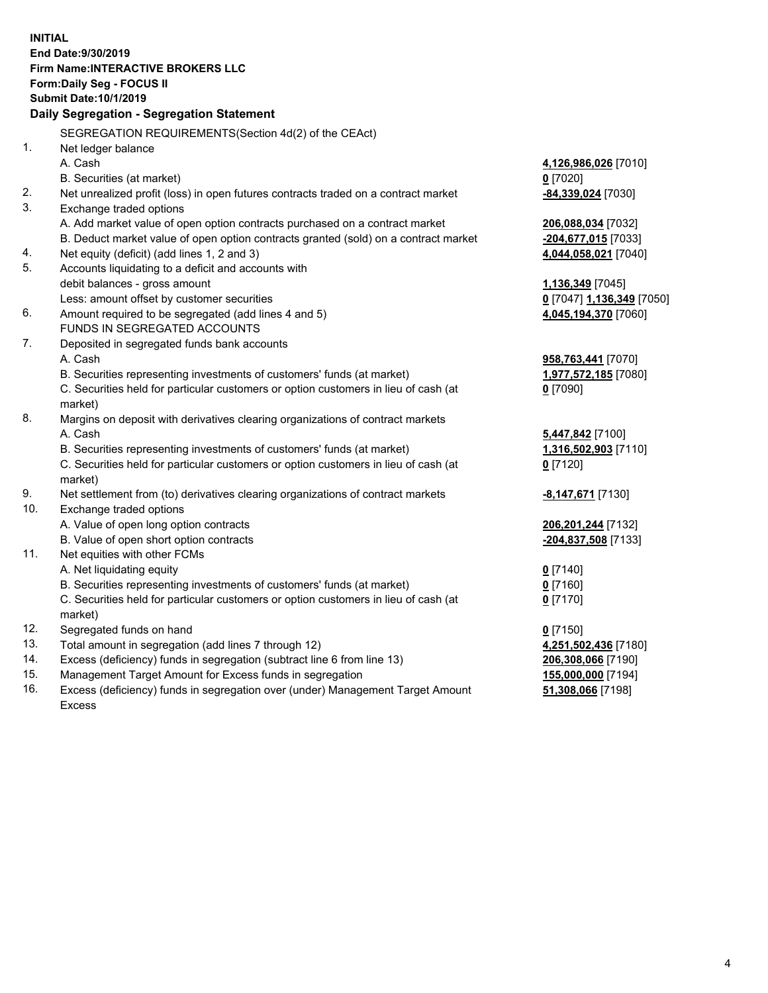**INITIAL End Date:9/30/2019 Firm Name:INTERACTIVE BROKERS LLC Form:Daily Seg - FOCUS II Submit Date:10/1/2019 Daily Segregation - Segregation Statement** SEGREGATION REQUIREMENTS(Section 4d(2) of the CEAct) 1. Net ledger balance A. Cash **4,126,986,026** [7010] B. Securities (at market) **0** [7020] 2. Net unrealized profit (loss) in open futures contracts traded on a contract market **-84,339,024** [7030] 3. Exchange traded options A. Add market value of open option contracts purchased on a contract market **206,088,034** [7032] B. Deduct market value of open option contracts granted (sold) on a contract market **-204,677,015** [7033] 4. Net equity (deficit) (add lines 1, 2 and 3) **4,044,058,021** [7040] 5. Accounts liquidating to a deficit and accounts with debit balances - gross amount **1,136,349** [7045] Less: amount offset by customer securities **0** [7047] **1,136,349** [7050] 6. Amount required to be segregated (add lines 4 and 5) **4,045,194,370** [7060] FUNDS IN SEGREGATED ACCOUNTS 7. Deposited in segregated funds bank accounts A. Cash **958,763,441** [7070] B. Securities representing investments of customers' funds (at market) **1,977,572,185** [7080] C. Securities held for particular customers or option customers in lieu of cash (at market) **0** [7090] 8. Margins on deposit with derivatives clearing organizations of contract markets A. Cash **5,447,842** [7100] B. Securities representing investments of customers' funds (at market) **1,316,502,903** [7110] C. Securities held for particular customers or option customers in lieu of cash (at market) **0** [7120] 9. Net settlement from (to) derivatives clearing organizations of contract markets **-8,147,671** [7130] 10. Exchange traded options A. Value of open long option contracts **206,201,244** [7132] B. Value of open short option contracts **-204,837,508** [7133] 11. Net equities with other FCMs A. Net liquidating equity **0** [7140] B. Securities representing investments of customers' funds (at market) **0** [7160] C. Securities held for particular customers or option customers in lieu of cash (at market) **0** [7170] 12. Segregated funds on hand **0** [7150] 13. Total amount in segregation (add lines 7 through 12) **4,251,502,436** [7180] 14. Excess (deficiency) funds in segregation (subtract line 6 from line 13) **206,308,066** [7190] 15. Management Target Amount for Excess funds in segregation **155,000,000** [7194] **51,308,066** [7198]

16. Excess (deficiency) funds in segregation over (under) Management Target Amount Excess